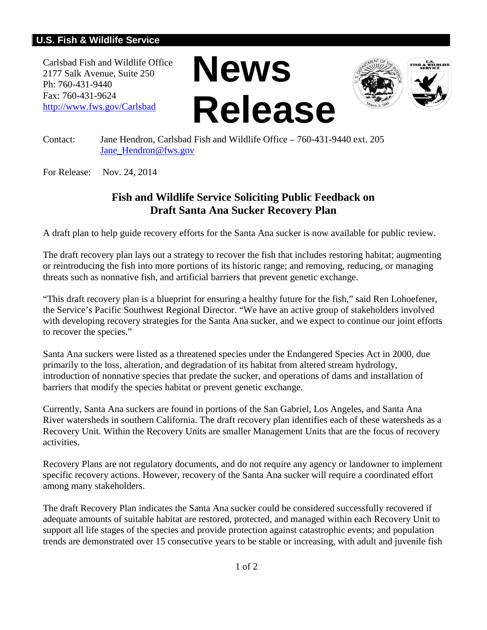## **U.S. Fish & Wildlife Service**

Carlsbad Fish and Wildlife Office 2177 Salk Avenue, Suite 250 Ph: 760-431-9440 Fax: 760-431-9624 <http://www.fws.gov/Carlsbad>





Contact: Jane Hendron, Carlsbad Fish and Wildlife Office – 760-431-9440 ext. 205 Jane Hendron@fws.gov

For Release: Nov. 24, 2014

## **Fish and Wildlife Service Soliciting Public Feedback on Draft Santa Ana Sucker Recovery Plan**

A draft plan to help guide recovery efforts for the Santa Ana sucker is now available for public review.

The draft recovery plan lays out a strategy to recover the fish that includes restoring habitat; augmenting or reintroducing the fish into more portions of its historic range; and removing, reducing, or managing threats such as nonnative fish, and artificial barriers that prevent genetic exchange.

"This draft recovery plan is a blueprint for ensuring a healthy future for the fish," said Ren Lohoefener, the Service's Pacific Southwest Regional Director. "We have an active group of stakeholders involved with developing recovery strategies for the Santa Ana sucker, and we expect to continue our joint efforts to recover the species."

Santa Ana suckers were listed as a threatened species under the Endangered Species Act in 2000, due primarily to the loss, alteration, and degradation of its habitat from altered stream hydrology, introduction of nonnative species that predate the sucker, and operations of dams and installation of barriers that modify the species habitat or prevent genetic exchange.

Currently, Santa Ana suckers are found in portions of the San Gabriel, Los Angeles, and Santa Ana River watersheds in southern California. The draft recovery plan identifies each of these watersheds as a Recovery Unit. Within the Recovery Units are smaller Management Units that are the focus of recovery activities.

Recovery Plans are not regulatory documents, and do not require any agency or landowner to implement specific recovery actions. However, recovery of the Santa Ana sucker will require a coordinated effort among many stakeholders.

The draft Recovery Plan indicates the Santa Ana sucker could be considered successfully recovered if adequate amounts of suitable habitat are restored, protected, and managed within each Recovery Unit to support all life stages of the species and provide protection against catastrophic events; and population trends are demonstrated over 15 consecutive years to be stable or increasing, with adult and juvenile fish